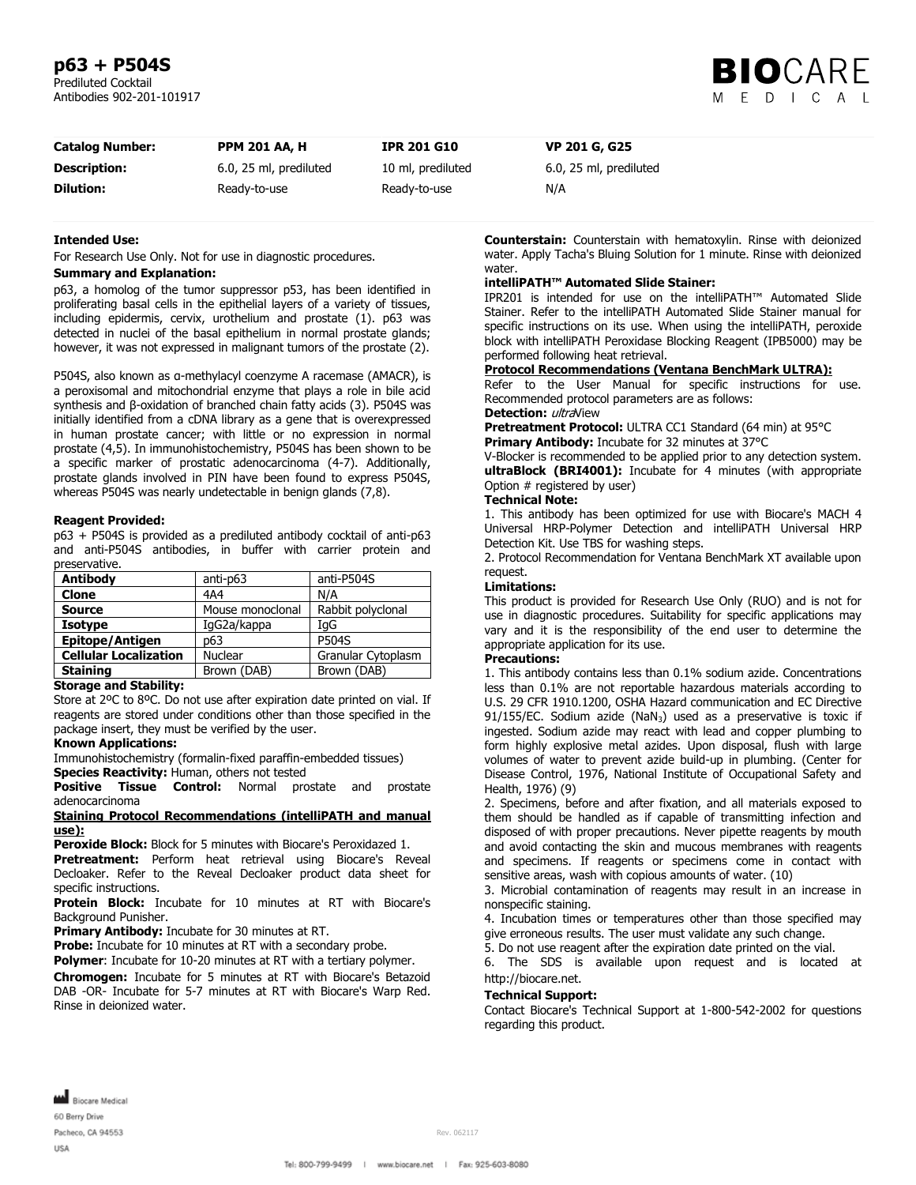## **p63 + P504S**

Prediluted Cocktail Antibodies 902-201-101917



| <b>Catalog Number:</b> | <b>PPM 201 AA, H</b>   | <b>IPR 201 G10</b> | <b>VP 201 G, G25</b>   |
|------------------------|------------------------|--------------------|------------------------|
| <b>Description:</b>    | 6.0, 25 ml, prediluted | 10 ml, prediluted  | 6.0, 25 ml, prediluted |
| <b>Dilution:</b>       | Ready-to-use           | Ready-to-use       | N/A                    |

### **Intended Use:**

For Research Use Only. Not for use in diagnostic procedures.

### **Summary and Explanation:**

p63, a homolog of the tumor suppressor p53, has been identified in proliferating basal cells in the epithelial layers of a variety of tissues, including epidermis, cervix, urothelium and prostate (1). p63 was detected in nuclei of the basal epithelium in normal prostate glands; however, it was not expressed in malignant tumors of the prostate (2).

P504S, also known as α-methylacyl coenzyme A racemase (AMACR), is a peroxisomal and mitochondrial enzyme that plays a role in bile acid synthesis and β-oxidation of branched chain fatty acids (3). P504S was initially identified from a cDNA library as a gene that is overexpressed in human prostate cancer; with little or no expression in normal prostate (4,5). In immunohistochemistry, P504S has been shown to be a specific marker of prostatic adenocarcinoma (4-7). Additionally, prostate glands involved in PIN have been found to express P504S, whereas P504S was nearly undetectable in benign glands (7,8).

#### **Reagent Provided:**

p63 + P504S is provided as a prediluted antibody cocktail of anti-p63 and anti-P504S antibodies, in buffer with carrier protein and preservative.

| <b>Antibody</b>              | anti-p63         | anti-P504S         |
|------------------------------|------------------|--------------------|
| <b>Clone</b>                 | 4A4              | N/A                |
| <b>Source</b>                | Mouse monoclonal | Rabbit polyclonal  |
| <b>Isotype</b>               | IgG2a/kappa      | IqG                |
| <b>Epitope/Antigen</b>       | p63              | <b>P504S</b>       |
| <b>Cellular Localization</b> | <b>Nuclear</b>   | Granular Cytoplasm |
| <b>Staining</b>              | Brown (DAB)      | Brown (DAB)        |

### **Storage and Stability:**

Store at 2ºC to 8ºC. Do not use after expiration date printed on vial. If reagents are stored under conditions other than those specified in the package insert, they must be verified by the user.

### **Known Applications:**

Immunohistochemistry (formalin-fixed paraffin-embedded tissues) **Species Reactivity:** Human, others not tested

**Positive Tissue Control:** Normal prostate and prostate adenocarcinoma

### **Staining Protocol Recommendations (intelliPATH and manual use):**

**Peroxide Block:** Block for 5 minutes with Biocare's Peroxidazed 1.

**Pretreatment:** Perform heat retrieval using Biocare's Reveal Decloaker. Refer to the Reveal Decloaker product data sheet for specific instructions.

**Protein Block:** Incubate for 10 minutes at RT with Biocare's Background Punisher.

**Primary Antibody:** Incubate for 30 minutes at RT.

**Probe:** Incubate for 10 minutes at RT with a secondary probe.

**Polymer:** Incubate for 10-20 minutes at RT with a tertiary polymer.

**Chromogen:** Incubate for 5 minutes at RT with Biocare's Betazoid DAB -OR- Incubate for 5-7 minutes at RT with Biocare's Warp Red. Rinse in deionized water.

**Counterstain:** Counterstain with hematoxylin. Rinse with deionized water. Apply Tacha's Bluing Solution for 1 minute. Rinse with deionized water.

### **intelliPATH™ Automated Slide Stainer:**

IPR201 is intended for use on the intelliPATH™ Automated Slide Stainer. Refer to the intelliPATH Automated Slide Stainer manual for specific instructions on its use. When using the intelliPATH, peroxide block with intelliPATH Peroxidase Blocking Reagent (IPB5000) may be performed following heat retrieval.

### **Protocol Recommendations (Ventana BenchMark ULTRA):**

Refer to the User Manual for specific instructions for use. Recommended protocol parameters are as follows:

### **Detection:** *ultra*View

**Pretreatment Protocol:** ULTRA CC1 Standard (64 min) at 95°C **Primary Antibody:** Incubate for 32 minutes at 37°C

V-Blocker is recommended to be applied prior to any detection system. **ultraBlock (BRI4001):** Incubate for 4 minutes (with appropriate Option # registered by user)

### **Technical Note:**

1. This antibody has been optimized for use with Biocare's MACH 4 Universal HRP-Polymer Detection and intelliPATH Universal HRP Detection Kit. Use TBS for washing steps.

2. Protocol Recommendation for Ventana BenchMark XT available upon request.

### **Limitations:**

This product is provided for Research Use Only (RUO) and is not for use in diagnostic procedures. Suitability for specific applications may vary and it is the responsibility of the end user to determine the appropriate application for its use.

### **Precautions:**

1. This antibody contains less than 0.1% sodium azide. Concentrations less than 0.1% are not reportable hazardous materials according to U.S. 29 CFR 1910.1200, OSHA Hazard communication and EC Directive 91/155/EC. Sodium azide (NaN<sub>3</sub>) used as a preservative is toxic if ingested. Sodium azide may react with lead and copper plumbing to form highly explosive metal azides. Upon disposal, flush with large volumes of water to prevent azide build-up in plumbing. (Center for Disease Control, 1976, National Institute of Occupational Safety and Health, 1976) (9)

2. Specimens, before and after fixation, and all materials exposed to them should be handled as if capable of transmitting infection and disposed of with proper precautions. Never pipette reagents by mouth and avoid contacting the skin and mucous membranes with reagents and specimens. If reagents or specimens come in contact with sensitive areas, wash with copious amounts of water. (10)

3. Microbial contamination of reagents may result in an increase in nonspecific staining.

4. Incubation times or temperatures other than those specified may give erroneous results. The user must validate any such change.

5. Do not use reagent after the expiration date printed on the vial.

6. The SDS is available upon request and is located at http://biocare.net.

#### **Technical Support:**

Contact Biocare's Technical Support at 1-800-542-2002 for questions regarding this product.